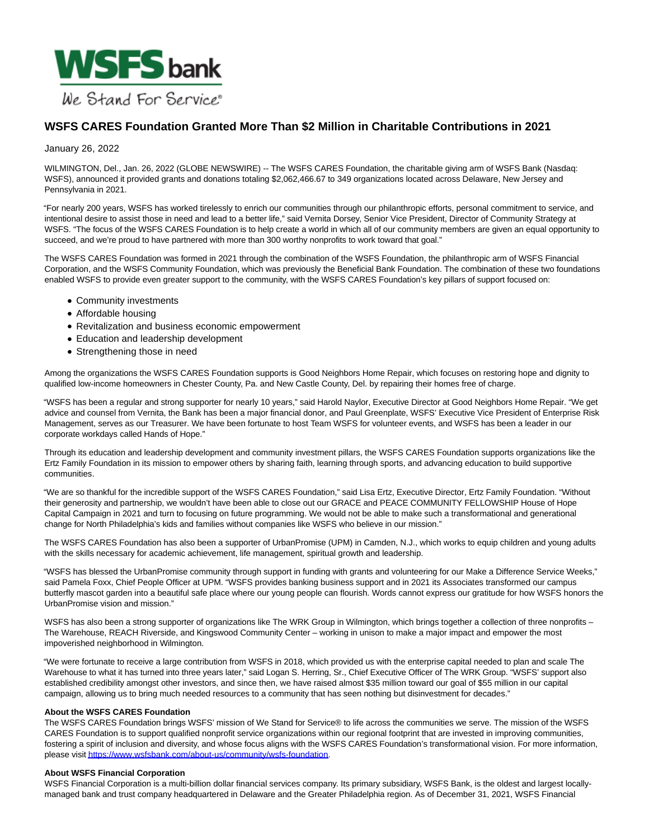

# **WSFS CARES Foundation Granted More Than \$2 Million in Charitable Contributions in 2021**

### January 26, 2022

WILMINGTON, Del., Jan. 26, 2022 (GLOBE NEWSWIRE) -- The WSFS CARES Foundation, the charitable giving arm of WSFS Bank (Nasdaq: WSFS), announced it provided grants and donations totaling \$2,062,466.67 to 349 organizations located across Delaware, New Jersey and Pennsylvania in 2021.

"For nearly 200 years, WSFS has worked tirelessly to enrich our communities through our philanthropic efforts, personal commitment to service, and intentional desire to assist those in need and lead to a better life," said Vernita Dorsey, Senior Vice President, Director of Community Strategy at WSFS. "The focus of the WSFS CARES Foundation is to help create a world in which all of our community members are given an equal opportunity to succeed, and we're proud to have partnered with more than 300 worthy nonprofits to work toward that goal."

The WSFS CARES Foundation was formed in 2021 through the combination of the WSFS Foundation, the philanthropic arm of WSFS Financial Corporation, and the WSFS Community Foundation, which was previously the Beneficial Bank Foundation. The combination of these two foundations enabled WSFS to provide even greater support to the community, with the WSFS CARES Foundation's key pillars of support focused on:

- Community investments
- Affordable housing
- Revitalization and business economic empowerment
- Education and leadership development
- Strengthening those in need

Among the organizations the WSFS CARES Foundation supports is Good Neighbors Home Repair, which focuses on restoring hope and dignity to qualified low-income homeowners in Chester County, Pa. and New Castle County, Del. by repairing their homes free of charge.

"WSFS has been a regular and strong supporter for nearly 10 years," said Harold Naylor, Executive Director at Good Neighbors Home Repair. "We get advice and counsel from Vernita, the Bank has been a major financial donor, and Paul Greenplate, WSFS' Executive Vice President of Enterprise Risk Management, serves as our Treasurer. We have been fortunate to host Team WSFS for volunteer events, and WSFS has been a leader in our corporate workdays called Hands of Hope."

Through its education and leadership development and community investment pillars, the WSFS CARES Foundation supports organizations like the Ertz Family Foundation in its mission to empower others by sharing faith, learning through sports, and advancing education to build supportive communities.

"We are so thankful for the incredible support of the WSFS CARES Foundation," said Lisa Ertz, Executive Director, Ertz Family Foundation. "Without their generosity and partnership, we wouldn't have been able to close out our GRACE and PEACE COMMUNITY FELLOWSHIP House of Hope Capital Campaign in 2021 and turn to focusing on future programming. We would not be able to make such a transformational and generational change for North Philadelphia's kids and families without companies like WSFS who believe in our mission."

The WSFS CARES Foundation has also been a supporter of UrbanPromise (UPM) in Camden, N.J., which works to equip children and young adults with the skills necessary for academic achievement, life management, spiritual growth and leadership.

"WSFS has blessed the UrbanPromise community through support in funding with grants and volunteering for our Make a Difference Service Weeks," said Pamela Foxx, Chief People Officer at UPM. "WSFS provides banking business support and in 2021 its Associates transformed our campus butterfly mascot garden into a beautiful safe place where our young people can flourish. Words cannot express our gratitude for how WSFS honors the UrbanPromise vision and mission."

WSFS has also been a strong supporter of organizations like The WRK Group in Wilmington, which brings together a collection of three nonprofits -The Warehouse, REACH Riverside, and Kingswood Community Center – working in unison to make a major impact and empower the most impoverished neighborhood in Wilmington.

"We were fortunate to receive a large contribution from WSFS in 2018, which provided us with the enterprise capital needed to plan and scale The Warehouse to what it has turned into three years later," said Logan S. Herring, Sr., Chief Executive Officer of The WRK Group. "WSFS' support also established credibility amongst other investors, and since then, we have raised almost \$35 million toward our goal of \$55 million in our capital campaign, allowing us to bring much needed resources to a community that has seen nothing but disinvestment for decades."

#### **About the WSFS CARES Foundation**

The WSFS CARES Foundation brings WSFS' mission of We Stand for Service® to life across the communities we serve. The mission of the WSFS CARES Foundation is to support qualified nonprofit service organizations within our regional footprint that are invested in improving communities, fostering a spirit of inclusion and diversity, and whose focus aligns with the WSFS CARES Foundation's transformational vision. For more information, please visi[t https://www.wsfsbank.com/about-us/community/wsfs-foundation.](https://www.globenewswire.com/Tracker?data=lanCM0COktaJ-u5QEuxEwlWrni5upx1jfbnNDdq-WRKTKamWeNvcbvno6jG3968CBWX6BtcQk5L2ZD4iOmt-q0KbuC6Sb1rZsagPsvSf4VDAG8I3fngs1pThlodkZOWYGFctRJmUpgnU4_BLCaphBnJCE9IzZOoUc-GQlytha0yLpQDYrlEr76NK1_QPlUG0)

# **About WSFS Financial Corporation**

WSFS Financial Corporation is a multi-billion dollar financial services company, Its primary subsidiary, WSFS Bank, is the oldest and largest locallymanaged bank and trust company headquartered in Delaware and the Greater Philadelphia region. As of December 31, 2021, WSFS Financial